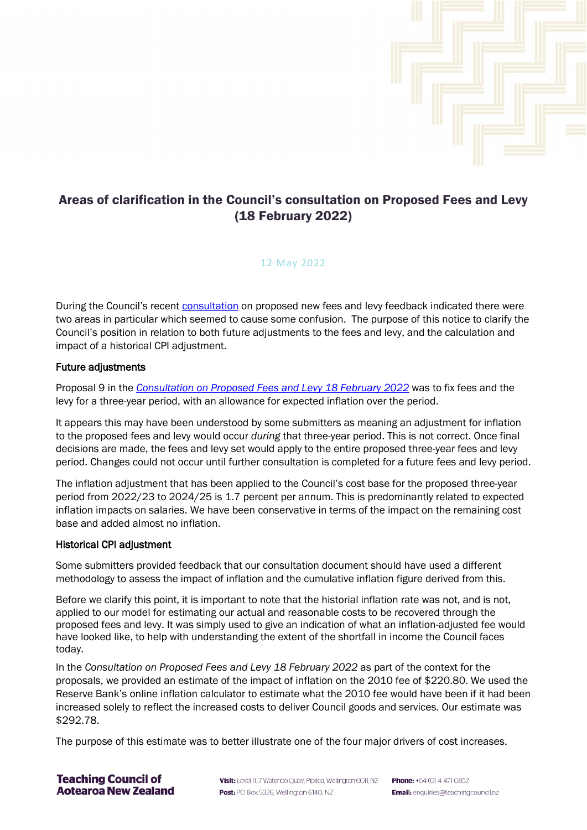

## Areas of clarification in the Council's consultation on Proposed Fees and Levy (18 February 2022)

## 12 May 2022

During the Council's recent [consultation](https://teachingcouncil.nz/assets/Files/Fees/TC-Consultation-DocumentProposed-fees-and-levy.pdf) on proposed new fees and levy feedback indicated there were two areas in particular which seemed to cause some confusion. The purpose of this notice to clarify the Council's position in relation to both future adjustments to the fees and levy, and the calculation and impact of a historical CPI adjustment.

## Future adjustments

Proposal 9 in the *[Consultation on Proposed Fees and Levy 18 February 2022](https://teachingcouncil.nz/assets/Files/Fees/TC-Consultation-DocumentProposed-fees-and-levy.pdf)* was to fix fees and the levy for a three-year period, with an allowance for expected inflation over the period.

It appears this may have been understood by some submitters as meaning an adjustment for inflation to the proposed fees and levy would occur *during* that three-year period. This is not correct. Once final decisions are made, the fees and levy set would apply to the entire proposed three-year fees and levy period. Changes could not occur until further consultation is completed for a future fees and levy period.

The inflation adjustment that has been applied to the Council's cost base for the proposed three-year period from 2022/23 to 2024/25 is 1.7 percent per annum. This is predominantly related to expected inflation impacts on salaries. We have been conservative in terms of the impact on the remaining cost base and added almost no inflation.

## Historical CPI adjustment

Some submitters provided feedback that our consultation document should have used a different methodology to assess the impact of inflation and the cumulative inflation figure derived from this.

Before we clarify this point, it is important to note that the historial inflation rate was not, and is not, applied to our model for estimating our actual and reasonable costs to be recovered through the proposed fees and levy. It was simply used to give an indication of what an inflation-adjusted fee would have looked like, to help with understanding the extent of the shortfall in income the Council faces today.

In the *Consultation on Proposed Fees and Levy 18 February 2022* as part of the context for the proposals, we provided an estimate of the impact of inflation on the 2010 fee of \$220.80. We used the Reserve Bank's online inflation calculator to estimate what the 2010 fee would have been if it had been increased solely to reflect the increased costs to deliver Council goods and services. Our estimate was \$292.78.

The purpose of this estimate was to better illustrate one of the four major drivers of cost increases.